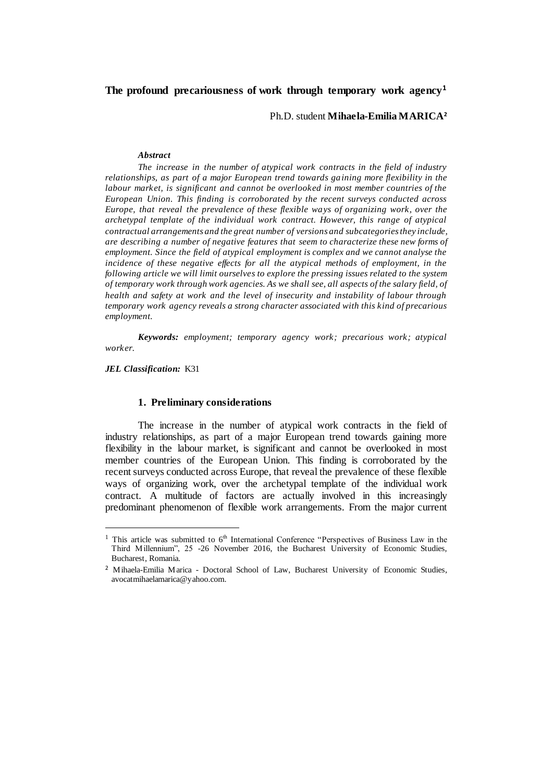# **The profound precariousness of work through temporary work agency<sup>1</sup>**

Ph.D. student **Mihaela-Emilia MARICA<sup>2</sup>**

#### *Abstract*

*The increase in the number of atypical work contracts in the field of industry relationships, as part of a major European trend towards gaining more flexibility in the labour market, is significant and cannot be overlooked in most member countries of the European Union. This finding is corroborated by the recent surveys conducted across Europe, that reveal the prevalence of these flexible ways of organizing work, over the archetypal template of the individual work contract. However, this range of atypical contractual arrangements and the great number of versions and subcategories they include, are describing a number of negative features that seem to characterize these new forms of employment. Since the field of atypical employment is complex and we cannot analyse the incidence of these negative effects for all the atypical methods of employment, in the following article we will limit ourselves to explore the pressing issues related to the system of temporary work through work agencies. As we shall see, all aspects of the salary field, of health and safety at work and the level of insecurity and instability of labour through temporary work agency reveals a strong character associated with this kind of precarious employment.*

*Keywords: employment; temporary agency work; precarious work; atypical worker.*

*JEL Classification:* K31

 $\overline{a}$ 

### **1. Preliminary considerations**

The increase in the number of atypical work contracts in the field of industry relationships, as part of a major European trend towards gaining more flexibility in the labour market, is significant and cannot be overlooked in most member countries of the European Union. This finding is corroborated by the recent surveys conducted across Europe, that reveal the prevalence of these flexible ways of organizing work, over the archetypal template of the individual work contract. A multitude of factors are actually involved in this increasingly predominant phenomenon of flexible work arrangements. From the major current

<sup>&</sup>lt;sup>1</sup> This article was submitted to  $6<sup>th</sup>$  International Conference "Perspectives of Business Law in the Third Millennium", 25 -26 November 2016, the Bucharest University of Economic Studies, Bucharest, Romania.

<sup>2</sup> Mihaela-Emilia Marica - Doctoral School of Law, Bucharest University of Economic Studies, [avocatmihaelamarica@yahoo.com.](mailto:avocatmihaelamarica@yahoo.com)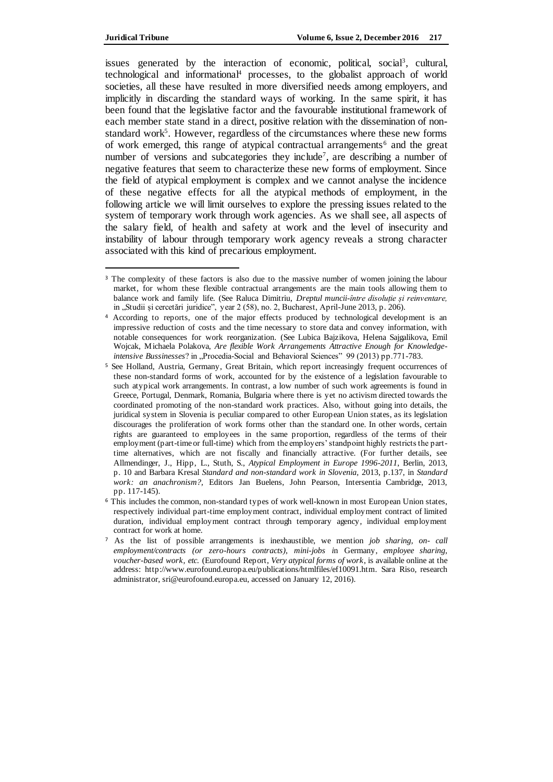$\overline{a}$ 

issues generated by the interaction of economic, political, social<sup>3</sup>, cultural, technological and informational<sup>4</sup> processes, to the globalist approach of world societies, all these have resulted in more diversified needs among employers, and implicitly in discarding the standard ways of working. In the same spirit, it has been found that the legislative factor and the favourable institutional framework of each member state stand in a direct, positive relation with the dissemination of nonstandard work<sup>5</sup>. However, regardless of the circumstances where these new forms of work emerged, this range of atypical contractual arrangements<sup>6</sup> and the great number of versions and subcategories they include<sup>7</sup>, are describing a number of negative features that seem to characterize these new forms of employment. Since the field of atypical employment is complex and we cannot analyse the incidence of these negative effects for all the atypical methods of employment, in the following article we will limit ourselves to explore the pressing issues related to the system of temporary work through work agencies. As we shall see, all aspects of the salary field, of health and safety at work and the level of insecurity and instability of labour through temporary work agency reveals a strong character associated with this kind of precarious employment.

<sup>&</sup>lt;sup>3</sup> The complexity of these factors is also due to the massive number of women joining the labour market, for whom these flexible contractual arrangements are the main tools allowing them to balance work and family life. (See Raluca Dimitriu, *Dreptul muncii-între disoluție și reinventare,*  in "Studii și cercetări juridice", year 2 (58), no. 2, Bucharest, April-June 2013, p. 206).

<sup>4</sup> According to reports, one of the major effects produced by technological development is an impressive reduction of costs and the time necessary to store data and convey information, with notable consequences for work reorganization. (See Lubica Bajzikova, Helena Sajgalikova, Emil Wojcak, Michaela Polakova, *Are flexible Work Arrangements Attractive Enough for Knowledgeintensive Bussinesses*? in "Procedia-Social and Behavioral Sciences" 99 (2013) pp.771-783.

<sup>5</sup> See Holland, Austria, Germany, Great Britain, which report increasingly frequent occurrences of these non-standard forms of work, accounted for by the existence of a legislation favourable to such atypical work arrangements. In contrast, a low number of such work agreements is found in Greece, Portugal, Denmark, Romania, Bulgaria where there is yet no activism directed towards the coordinated promoting of the non-standard work practices. Also, without going into details, the juridical system in Slovenia is peculiar compared to other European Union states, as its legislation discourages the proliferation of work forms other than the standard one. In other words, certain rights are guaranteed to employees in the same proportion, regardless of the terms of their employment (part-time or full-time) which from the employers' standpoint highly restricts the parttime alternatives, which are not fiscally and financially attractive. (For further details, see Allmendinger, J., Hipp, L., Stuth, S., *Atypical Employment in Europe 1996-2011*, Berlin, 2013, p. 10 and Barbara Kresal *Standard and non-standard work in Slovenia,* 2013, p.137, in *Standard work: an anachronism?,* Editors Jan Buelens, John Pearson, Intersentia Cambridge, 2013, pp. 117-145).

<sup>6</sup> This includes the common, non-standard types of work well-known in most European Union states, respectively individual part-time employment contract, individual employment contract of limited duration, individual employment contract through temporary agency, individual employment contract for work at home.

<sup>7</sup> As the list of possible arrangements is inexhaustible, we mention *job sharing, on- call employment/contracts (or zero-hours contracts), mini-jobs i*n Germany, *employee sharing, voucher-based work, etc.* (Eurofound Report, *Very atypical forms of work*, is available online at the address: [http://www.eurofound.europa.eu/publications/htmlfiles/ef10091.htm.](http://www.eurofound.europa.eu/publications/htmlfiles/ef10091.htm) Sara Riso, research administrator, sri@eurofound.europa.eu, accessed on January 12, 2016).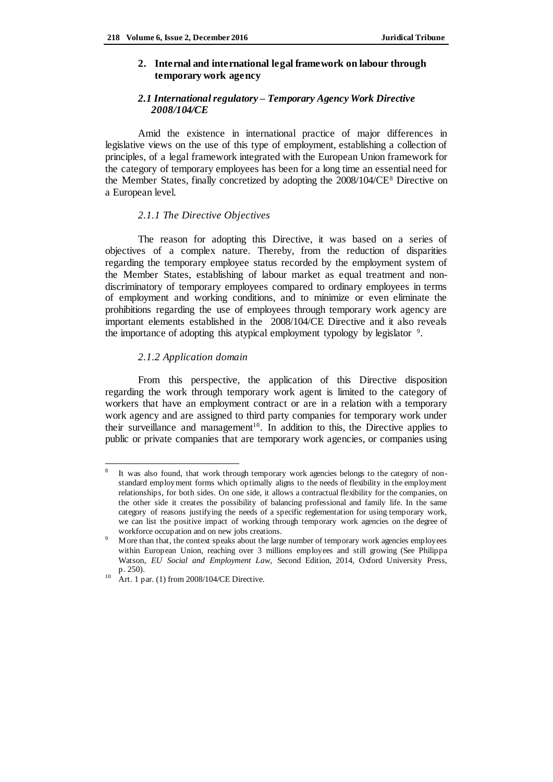# **2. Internal and international legal framework on labour through temporary work agency**

# *2.1 International regulatory – Temporary Agency Work Directive 2008/104/CE*

Amid the existence in international practice of major differences in legislative views on the use of this type of employment, establishing a collection of principles, of a legal framework integrated with the European Union framework for the category of temporary employees has been for a long time an essential need for the Member States, finally concretized by adopting the 2008/104/CE<sup>8</sup> Directive on a European level.

### *2.1.1 The Directive Objectives*

The reason for adopting this Directive, it was based on a series of objectives of a complex nature. Thereby, from the reduction of disparities regarding the temporary employee status recorded by the employment system of the Member States, establishing of labour market as equal treatment and nondiscriminatory of temporary employees compared to ordinary employees in terms of employment and working conditions, and to minimize or even eliminate the prohibitions regarding the use of employees through temporary work agency are important elements established in the 2008/104/CE Directive and it also reveals the importance of adopting this atypical employment typology by legislator<sup>9</sup>.

## *2.1.2 Application domain*

From this perspective, the application of this Directive disposition regarding the work through temporary work agent is limited to the category of workers that have an employment contract or are in a relation with a temporary work agency and are assigned to third party companies for temporary work under their surveillance and management<sup>10</sup>. In addition to this, the Directive applies to public or private companies that are temporary work agencies, or companies using

 $\overline{a}$ 8 It was also found, that work through temporary work agencies belongs to the category of nonstandard employment forms which optimally aligns to the needs of flexibility in the employment relationships, for both sides. On one side, it allows a contractual flexibility for the companies, on the other side it creates the possibility of balancing professional and family life. In the same category of reasons justifying the needs of a specific reglementation for using temporary work, we can list the positive impact of working through temporary work agencies on the degree of workforce occupation and on new jobs creations.

<sup>&</sup>lt;sup>9</sup> More than that, the context speaks about the large number of temporary work agencies employees within European Union, reaching over 3 millions employees and still growing (See Philippa Watson, *EU Social and Employment Law,* Second Edition, 2014, Oxford University Press, p. 250).

<sup>&</sup>lt;sup>10</sup> Art. 1 par. (1) from 2008/104/CE Directive.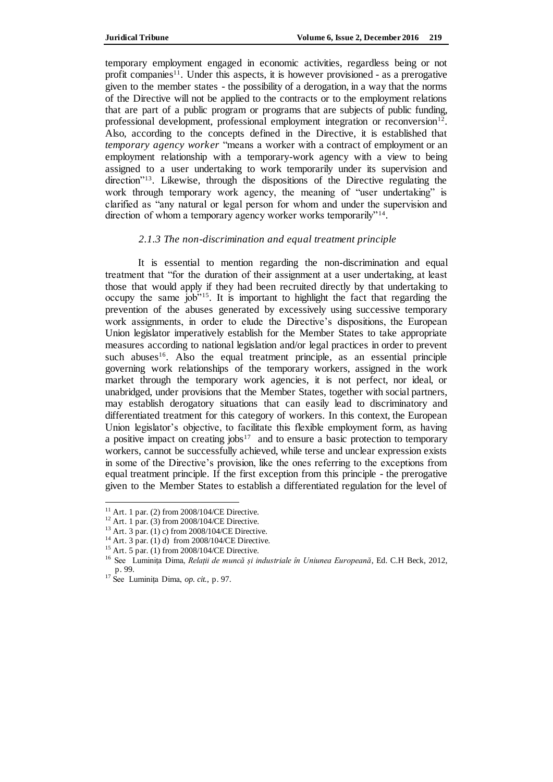temporary employment engaged in economic activities, regardless being or not profit companies<sup>11</sup>. Under this aspects, it is however provisioned - as a prerogative given to the member states - the possibility of a derogation, in a way that the norms of the Directive will not be applied to the contracts or to the employment relations that are part of a public program or programs that are subjects of public funding, professional development, professional employment integration or reconversion $12$ . Also, according to the concepts defined in the Directive, it is established that *temporary agency worker* "means a worker with a contract of employment or an employment relationship with a temporary-work agency with a view to being assigned to a user undertaking to work temporarily under its supervision and direction<sup>"13</sup>. Likewise, through the dispositions of the Directive regulating the work through temporary work agency, the meaning of "user undertaking" is clarified as "any natural or legal person for whom and under the supervision and direction of whom a temporary agency worker works temporarily"<sup>14</sup>.

## *2.1.3 The non-discrimination and equal treatment principle*

It is essential to mention regarding the non-discrimination and equal treatment that "for the duration of their assignment at a user undertaking, at least those that would apply if they had been recruited directly by that undertaking to occupy the same job"<sup>15</sup>. It is important to highlight the fact that regarding the prevention of the abuses generated by excessively using successive temporary work assignments, in order to elude the Directive's dispositions, the European Union legislator imperatively establish for the Member States to take appropriate measures according to national legislation and/or legal practices in order to prevent such abuses<sup>16</sup>. Also the equal treatment principle, as an essential principle governing work relationships of the temporary workers, assigned in the work market through the temporary work agencies, it is not perfect, nor ideal, or unabridged, under provisions that the Member States, together with social partners, may establish derogatory situations that can easily lead to discriminatory and differentiated treatment for this category of workers. In this context, the European Union legislator's objective, to facilitate this flexible employment form, as having a positive impact on creating jobs<sup>17</sup> and to ensure a basic protection to temporary workers, cannot be successfully achieved, while terse and unclear expression exists in some of the Directive's provision, like the ones referring to the exceptions from equal treatment principle. If the first exception from this principle - the prerogative given to the Member States to establish a differentiated regulation for the level of

 $11$  Art. 1 par. (2) from 2008/104/CE Directive.

<sup>12</sup> Art. 1 par. (3) from 2008/104/CE Directive.

<sup>13</sup> Art. 3 par. (1) c) from 2008/104/CE Directive.

<sup>14</sup> Art. 3 par. (1) d) from 2008/104/CE Directive.

<sup>15</sup> Art. 5 par. (1) from 2008/104/CE Directive.

<sup>16</sup> See Luminița Dima, *Relații de muncă și industriale în Uniunea Europeană*, Ed. C.H Beck, 2012, p. 99.

<sup>17</sup> See Luminița Dima, *op. cit.*, p. 97.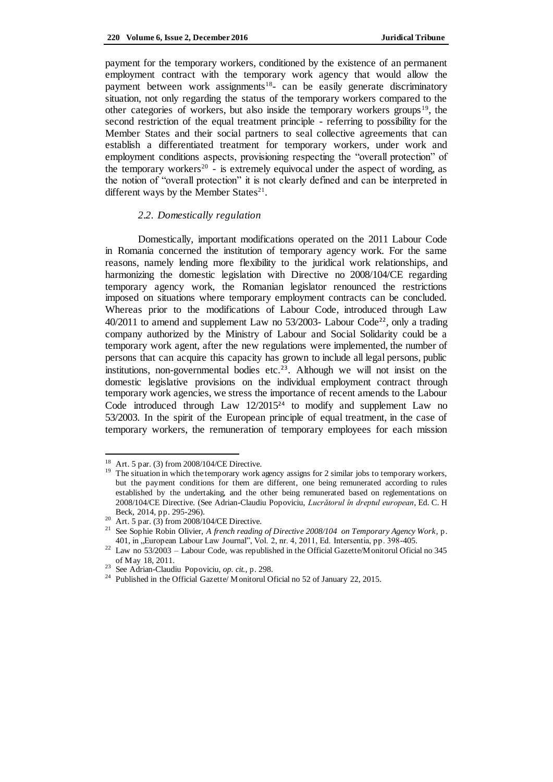payment for the temporary workers, conditioned by the existence of an permanent employment contract with the temporary work agency that would allow the payment between work assignments<sup>18</sup>- can be easily generate discriminatory situation, not only regarding the status of the temporary workers compared to the other categories of workers, but also inside the temporary workers groups<sup>19</sup>, the second restriction of the equal treatment principle - referring to possibility for the Member States and their social partners to seal collective agreements that can establish a differentiated treatment for temporary workers, under work and employment conditions aspects, provisioning respecting the "overall protection" of the temporary workers<sup>20</sup> - is extremely equivocal under the aspect of wording, as the notion of "overall protection" it is not clearly defined and can be interpreted in different ways by the Member States<sup>21</sup>.

### *2.2. Domestically regulation*

Domestically, important modifications operated on the 2011 Labour Code in Romania concerned the institution of temporary agency work. For the same reasons, namely lending more flexibility to the juridical work relationships, and harmonizing the domestic legislation with Directive no 2008/104/CE regarding temporary agency work, the Romanian legislator renounced the restrictions imposed on situations where temporary employment contracts can be concluded. Whereas prior to the modifications of Labour Code, introduced through Law  $40/2011$  to amend and supplement Law no 53/2003- Labour Code<sup>22</sup>, only a trading company authorized by the Ministry of Labour and Social Solidarity could be a temporary work agent, after the new regulations were implemented, the number of persons that can acquire this capacity has grown to include all legal persons, public institutions, non-governmental bodies etc.23. Although we will not insist on the domestic legislative provisions on the individual employment contract through temporary work agencies, we stress the importance of recent amends to the Labour Code introduced through Law 12/2015<sup>24</sup> to modify and supplement Law no 53/2003. In the spirit of the European principle of equal treatment, in the case of temporary workers, the remuneration of temporary employees for each mission

 18 Art. 5 par. (3) from 2008/104/CE Directive.

<sup>&</sup>lt;sup>19</sup> The situation in which the temporary work agency assigns for 2 similar jobs to temporary workers, but the payment conditions for them are different, one being remunerated according to rules established by the undertaking, and the other being remunerated based on reglementations on 2008/104/CE Directive. (See Adrian-Claudiu Popoviciu, *Lucrătorul în dreptul european*, Ed. C. H Beck, 2014, pp. 295-296).

 $20$  Art. 5 par. (3) from 2008/104/CE Directive.

<sup>&</sup>lt;sup>21</sup> See Sophie Robin Olivier, *A french reading of Directive 2008/104 on Temporary Agency Work, p.* 401, in "European Labour Law Journal", Vol. 2, nr. 4, 2011, Ed. Intersentia, pp. 398-405.

<sup>&</sup>lt;sup>22</sup> Law no 53/2003 – Labour Code, was republished in the Official Gazette/Monitorul Oficial no 345 of May 18, 2011.

<sup>23</sup> See Adrian-Claudiu Popoviciu, *op. cit.*, p. 298.

<sup>&</sup>lt;sup>24</sup> Published in the Official Gazette/ Monitorul Oficial no 52 of January 22, 2015.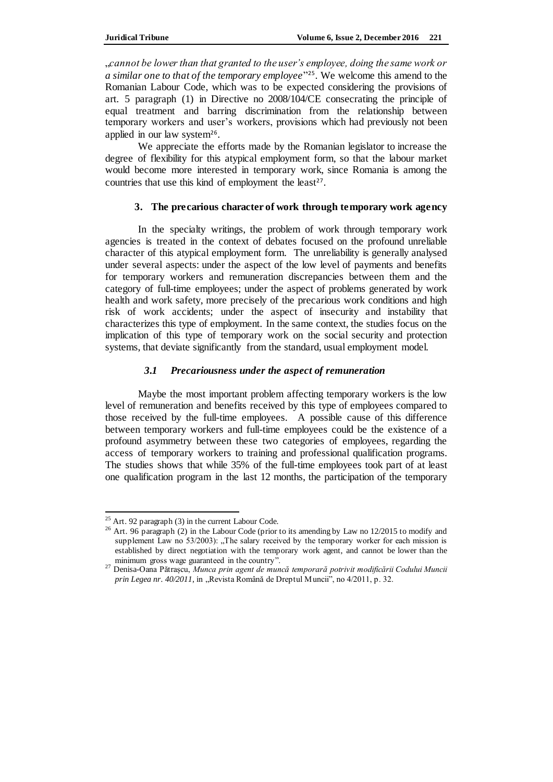"*cannot be lower than that granted to the user's employee, doing the same work or a similar one to that of the temporary employee*" <sup>25</sup>. We welcome this amend to the Romanian Labour Code, which was to be expected considering the provisions of art. 5 paragraph (1) in Directive no 2008/104/CE consecrating the principle of equal treatment and barring discrimination from the relationship between temporary workers and user's workers, provisions which had previously not been applied in our law system<sup>26</sup>.

We appreciate the efforts made by the Romanian legislator to increase the degree of flexibility for this atypical employment form, so that the labour market would become more interested in temporary work, since Romania is among the countries that use this kind of employment the least<sup>27</sup>.

### **3. The precarious character of work through temporary work agency**

In the specialty writings, the problem of work through temporary work agencies is treated in the context of debates focused on the profound unreliable character of this atypical employment form. The unreliability is generally analysed under several aspects: under the aspect of the low level of payments and benefits for temporary workers and remuneration discrepancies between them and the category of full-time employees; under the aspect of problems generated by work health and work safety, more precisely of the precarious work conditions and high risk of work accidents; under the aspect of insecurity and instability that characterizes this type of employment. In the same context, the studies focus on the implication of this type of temporary work on the social security and protection systems, that deviate significantly from the standard, usual employment model.

# *3.1 Precariousness under the aspect of remuneration*

Maybe the most important problem affecting temporary workers is the low level of remuneration and benefits received by this type of employees compared to those received by the full-time employees. A possible cause of this difference between temporary workers and full-time employees could be the existence of a profound asymmetry between these two categories of employees, regarding the access of temporary workers to training and professional qualification programs. The studies shows that while 35% of the full-time employees took part of at least one qualification program in the last 12 months, the participation of the temporary

 $\overline{\phantom{a}}$ 

 $25$  Art. 92 paragraph (3) in the current Labour Code.

<sup>&</sup>lt;sup>26</sup> Art. 96 paragraph (2) in the Labour Code (prior to its amending by Law no 12/2015 to modify and supplement Law no  $53/2003$ ): "The salary received by the temporary worker for each mission is established by direct negotiation with the temporary work agent, and cannot be lower than the minimum gross wage guaranteed in the country".

<sup>27</sup> Denisa-Oana Pătrașcu, *Munca prin agent de muncă temporară potrivit modificării Codului Muncii prin Legea nr. 40/2011*, in "Revista Română de Dreptul Muncii", no 4/2011, p. 32.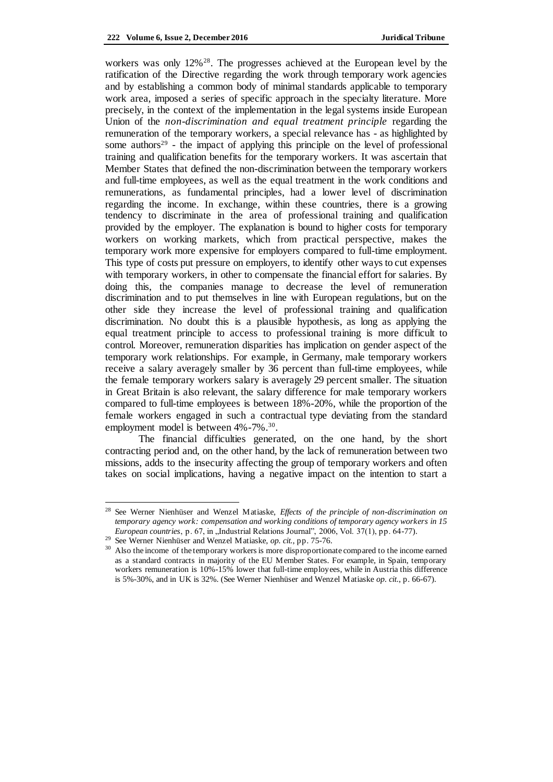workers was only  $12\%^{28}$ . The progresses achieved at the European level by the ratification of the Directive regarding the work through temporary work agencies and by establishing a common body of minimal standards applicable to temporary work area, imposed a series of specific approach in the specialty literature. More precisely, in the context of the implementation in the legal systems inside European Union of the *non-discrimination and equal treatment principle* regarding the remuneration of the temporary workers, a special relevance has - as highlighted by some authors<sup>29</sup> - the impact of applying this principle on the level of professional training and qualification benefits for the temporary workers. It was ascertain that Member States that defined the non-discrimination between the temporary workers and full-time employees, as well as the equal treatment in the work conditions and remunerations, as fundamental principles, had a lower level of discrimination regarding the income. In exchange, within these countries, there is a growing tendency to discriminate in the area of professional training and qualification provided by the employer. The explanation is bound to higher costs for temporary workers on working markets, which from practical perspective, makes the temporary work more expensive for employers compared to full-time employment. This type of costs put pressure on employers, to identify other ways to cut expenses with temporary workers, in other to compensate the financial effort for salaries. By doing this, the companies manage to decrease the level of remuneration discrimination and to put themselves in line with European regulations, but on the other side they increase the level of professional training and qualification discrimination. No doubt this is a plausible hypothesis, as long as applying the equal treatment principle to access to professional training is more difficult to control. Moreover, remuneration disparities has implication on gender aspect of the temporary work relationships. For example, in Germany, male temporary workers receive a salary averagely smaller by 36 percent than full-time employees, while the female temporary workers salary is averagely 29 percent smaller. The situation in Great Britain is also relevant, the salary difference for male temporary workers compared to full-time employees is between 18%-20%, while the proportion of the female workers engaged in such a contractual type deviating from the standard employment model is between  $4\%$  -7%.<sup>30</sup>.

The financial difficulties generated, on the one hand, by the short contracting period and, on the other hand, by the lack of remuneration between two missions, adds to the insecurity affecting the group of temporary workers and often takes on social implications, having a negative impact on the intention to start a

<sup>28</sup> See Werner Nienhüser and Wenzel Matiaske, *Effects of the principle of non-discrimination on temporary agency work: compensation and working conditions of temporary agency workers in 15 European countries*, p. 67, in "Industrial Relations Journal", 2006, Vol. 37(1), pp. 64-77).

<sup>29</sup> See Werner Nienhüser and Wenzel Matiaske, *op. cit.*, pp. 75-76.

<sup>&</sup>lt;sup>30</sup> Also the income of the temporary workers is more disproportionate compared to the income earned as a standard contracts in majority of the EU Member States. For example, in Spain, temporary workers remuneration is 10%-15% lower that full-time employees, while in Austria this difference is 5%-30%, and in UK is 32%. (See Werner Nienhüser and Wenzel Matiaske *op. cit*., p. 66-67).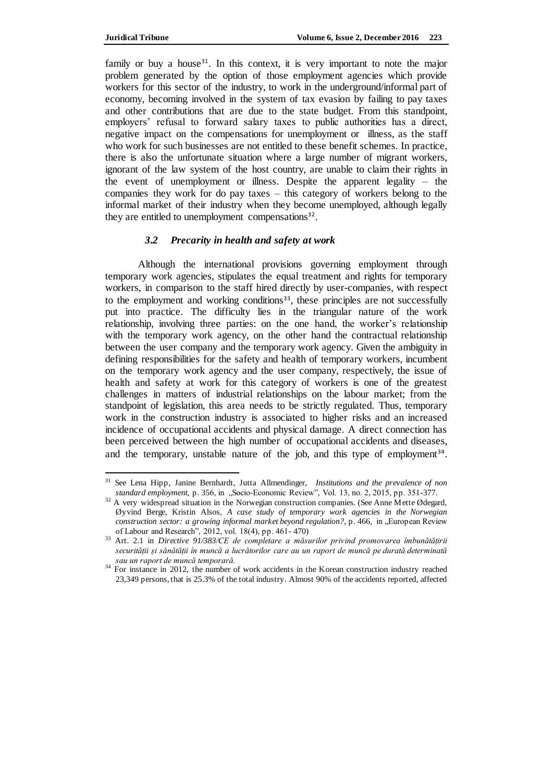$\overline{a}$ 

family or buy a house<sup>31</sup>. In this context, it is very important to note the major problem generated by the option of those employment agencies which provide workers for this sector of the industry, to work in the underground/informal part of economy, becoming involved in the system of tax evasion by failing to pay taxes and other contributions that are due to the state budget. From this standpoint, employers' refusal to forward salary taxes to public authorities has a direct, negative impact on the compensations for unemployment or illness, as the staff who work for such businesses are not entitled to these benefit schemes. In practice, there is also the unfortunate situation where a large number of migrant workers, ignorant of the law system of the host country, are unable to claim their rights in the event of unemployment or illness. Despite the apparent legality – the companies they work for do pay taxes – this category of workers belong to the informal market of their industry when they become unemployed, although legally they are entitled to unemployment compensations<sup>32</sup>.

### *3.2 Precarity in health and safety at work*

Although the international provisions governing employment through temporary work agencies, stipulates the equal treatment and rights for temporary workers, in comparison to the staff hired directly by user-companies, with respect to the employment and working conditions<sup>33</sup>, these principles are not successfully put into practice. The difficulty lies in the triangular nature of the work relationship, involving three parties: on the one hand, the worker's relationship with the temporary work agency, on the other hand the contractual relationship between the user company and the temporary work agency. Given the ambiguity in defining responsibilities for the safety and health of temporary workers, incumbent on the temporary work agency and the user company, respectively, the issue of health and safety at work for this category of workers is one of the greatest challenges in matters of industrial relationships on the labour market; from the standpoint of legislation, this area needs to be strictly regulated. Thus, temporary work in the construction industry is associated to higher risks and an increased incidence of occupational accidents and physical damage. A direct connection has been perceived between the high number of occupational accidents and diseases, and the temporary, unstable nature of the job, and this type of employment<sup>34</sup>.

<sup>31</sup> See Lena Hipp, Janine Bernhardt, Jutta Allmendinger, *Institutions and the prevalence of non standard employment, p. 356, in "Socio-Economic Review", Vol. 13, no. 2, 2015, pp. 351-377.* 

<sup>&</sup>lt;sup>32</sup> A very widespread situation in the Norwegian construction companies. (See Anne Mette Ødegard, Øyvind Berge, Kristin Alsos, *A case study of temporary work agencies in the Norwegian construction sector: a growing informal market beyond regulation?*, p. 466, in "European Review of Labour and Research", 2012, vol. 18(4), pp. 461- 470)

<sup>33</sup> Art. 2.1 in *Directive 91/383/CE de completare a măsurilor privind promovarea îmbunătățirii securității și sănătății în muncă a lucrătorilor care au un raport de muncă pe durată determinată sau un raport de muncă temporară.*

<sup>&</sup>lt;sup>34</sup> For instance in 2012, the number of work accidents in the Korean construction industry reached 23,349 persons, that is 25.3% of the total industry. Almost 90% of the accidents reported, affected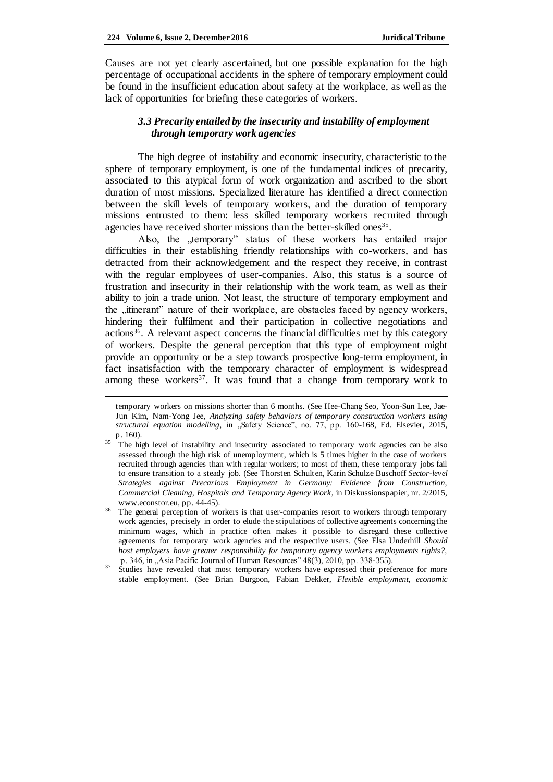$\overline{a}$ 

Causes are not yet clearly ascertained, but one possible explanation for the high percentage of occupational accidents in the sphere of temporary employment could be found in the insufficient education about safety at the workplace, as well as the lack of opportunities for briefing these categories of workers.

# *3.3 Precarity entailed by the insecurity and instability of employment through temporary work agencies*

The high degree of instability and economic insecurity, characteristic to the sphere of temporary employment, is one of the fundamental indices of precarity, associated to this atypical form of work organization and ascribed to the short duration of most missions. Specialized literature has identified a direct connection between the skill levels of temporary workers, and the duration of temporary missions entrusted to them: less skilled temporary workers recruited through agencies have received shorter missions than the better-skilled ones<sup>35</sup>.

Also, the "temporary" status of these workers has entailed major difficulties in their establishing friendly relationships with co-workers, and has detracted from their acknowledgement and the respect they receive, in contrast with the regular employees of user-companies. Also, this status is a source of frustration and insecurity in their relationship with the work team, as well as their ability to join a trade union. Not least, the structure of temporary employment and the "itinerant" nature of their workplace, are obstacles faced by agency workers, hindering their fulfilment and their participation in collective negotiations and actions<sup>36</sup>. A relevant aspect concerns the financial difficulties met by this category of workers. Despite the general perception that this type of employment might provide an opportunity or be a step towards prospective long-term employment, in fact insatisfaction with the temporary character of employment is widespread among these workers<sup>37</sup>. It was found that a change from temporary work to

temporary workers on missions shorter than 6 months. (See Hee-Chang Seo, Yoon-Sun Lee, Jae-Jun Kim, Nam-Yong Jee, *Analyzing safety behaviors of temporary construction workers using structural equation modelling*, in "Safety Science", no. 77, pp. 160-168, Ed. Elsevier, 2015, p. 160).

<sup>&</sup>lt;sup>35</sup> The high level of instability and insecurity associated to temporary work agencies can be also assessed through the high risk of unemployment, which is 5 times higher in the case of workers recruited through agencies than with regular workers; to most of them, these temporary jobs fail to ensure transition to a steady job. (See Thorsten Schulten, Karin Schulze Buschoff *Sector-level Strategies against Precarious Employment in Germany: Evidence from Construction, Commercial Cleaning, Hospitals and Temporary Agency Work,* in Diskussionspapier, nr. 2/2015, [www.econstor.eu,](http://www.econstor.eu/) pp. 44-45).

<sup>&</sup>lt;sup>36</sup> The general perception of workers is that user-companies resort to workers through temporary work agencies, precisely in order to elude the stipulations of collective agreements concerning the minimum wages, which in practice often makes it possible to disregard these collective agreements for temporary work agencies and the respective users. (See Elsa Underhill *Should host employers have greater responsibility for temporary agency workers employments rights?,* p. 346, in "Asia Pacific Journal of Human Resources" 48(3), 2010, pp. 338-355).

<sup>&</sup>lt;sup>37</sup> Studies have revealed that most temporary workers have expressed their preference for more stable employment. (See Brian Burgoon, Fabian Dekker, *Flexible employment, economic*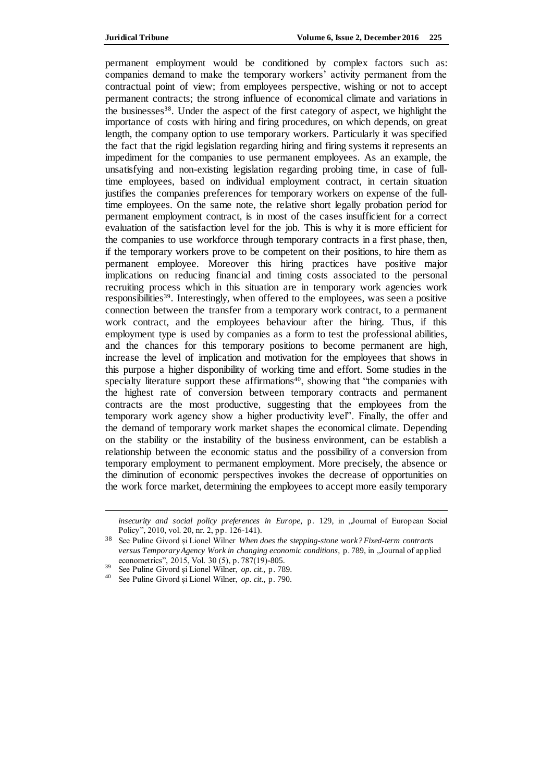permanent employment would be conditioned by complex factors such as: companies demand to make the temporary workers' activity permanent from the contractual point of view; from employees perspective, wishing or not to accept permanent contracts; the strong influence of economical climate and variations in the businesses38. Under the aspect of the first category of aspect, we highlight the importance of costs with hiring and firing procedures, on which depends, on great length, the company option to use temporary workers. Particularly it was specified the fact that the rigid legislation regarding hiring and firing systems it represents an impediment for the companies to use permanent employees. As an example, the unsatisfying and non-existing legislation regarding probing time, in case of fulltime employees, based on individual employment contract, in certain situation justifies the companies preferences for temporary workers on expense of the fulltime employees. On the same note, the relative short legally probation period for permanent employment contract, is in most of the cases insufficient for a correct evaluation of the satisfaction level for the job. This is why it is more efficient for the companies to use workforce through temporary contracts in a first phase, then, if the temporary workers prove to be competent on their positions, to hire them as permanent employee. Moreover this hiring practices have positive major implications on reducing financial and timing costs associated to the personal recruiting process which in this situation are in temporary work agencies work responsibilities<sup>39</sup>. Interestingly, when offered to the employees, was seen a positive connection between the transfer from a temporary work contract, to a permanent work contract, and the employees behaviour after the hiring. Thus, if this employment type is used by companies as a form to test the professional abilities, and the chances for this temporary positions to become permanent are high, increase the level of implication and motivation for the employees that shows in this purpose a higher disponibility of working time and effort. Some studies in the specialty literature support these affirmations<sup>40</sup>, showing that "the companies with the highest rate of conversion between temporary contracts and permanent contracts are the most productive, suggesting that the employees from the temporary work agency show a higher productivity level". Finally, the offer and the demand of temporary work market shapes the economical climate. Depending on the stability or the instability of the business environment, can be establish a relationship between the economic status and the possibility of a conversion from temporary employment to permanent employment. More precisely, the absence or the diminution of economic perspectives invokes the decrease of opportunities on the work force market, determining the employees to accept more easily temporary

*insecurity and social policy preferences in Europe*, p. 129*,* in "Journal of European Social Policy", 2010, vol. 20, nr. 2, pp. 126-141).

<sup>38</sup> See Puline Givord și Lionel Wilner *When does the stepping-stone work? Fixed-term contracts*  versus Temporary Agency Work in changing economic conditions, p. 789, in "Journal of applied econometrics", 2015, Vol. 30 (5), p. 787(19)-805.

<sup>39</sup> See Puline Givord și Lionel Wilner, *op. cit.,* p. 789.

<sup>40</sup> See Puline Givord și Lionel Wilner, *op. cit*., p. 790.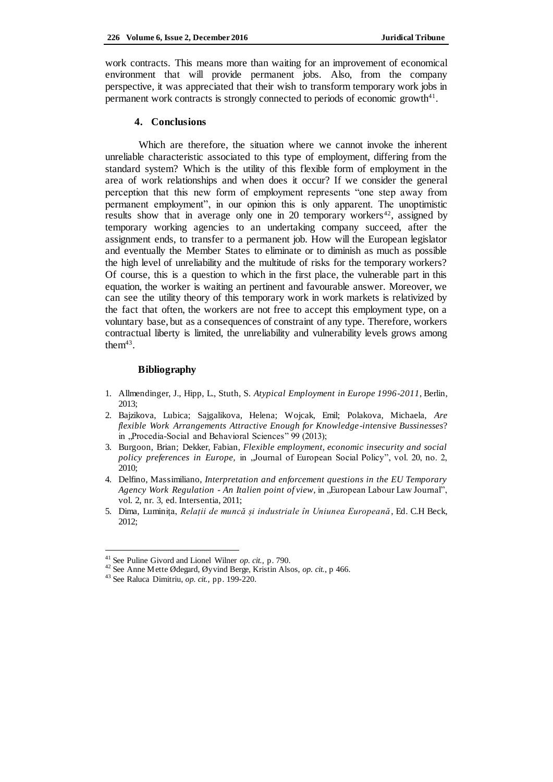work contracts. This means more than waiting for an improvement of economical environment that will provide permanent jobs. Also, from the company perspective, it was appreciated that their wish to transform temporary work jobs in permanent work contracts is strongly connected to periods of economic growth $4<sup>1</sup>$ .

### **4. Conclusions**

Which are therefore, the situation where we cannot invoke the inherent unreliable characteristic associated to this type of employment, differing from the standard system? Which is the utility of this flexible form of employment in the area of work relationships and when does it occur? If we consider the general perception that this new form of employment represents "one step away from permanent employment", in our opinion this is only apparent. The unoptimistic results show that in average only one in 20 temporary workers<sup>42</sup>, assigned by temporary working agencies to an undertaking company succeed, after the assignment ends, to transfer to a permanent job. How will the European legislator and eventually the Member States to eliminate or to diminish as much as possible the high level of unreliability and the multitude of risks for the temporary workers? Of course, this is a question to which in the first place, the vulnerable part in this equation, the worker is waiting an pertinent and favourable answer. Moreover, we can see the utility theory of this temporary work in work markets is relativized by the fact that often, the workers are not free to accept this employment type, on a voluntary base, but as a consequences of constraint of any type. Therefore, workers contractual liberty is limited, the unreliability and vulnerability levels grows among the $m<sup>43</sup>$ .

#### **Bibliography**

- 1. Allmendinger, J., Hipp, L., Stuth, S. *Atypical Employment in Europe 1996-2011*, Berlin,  $2013$
- 2. Bajzikova, Lubica; Sajgalikova, Helena; Wojcak, Emil; Polakova, Michaela, *Are flexible Work Arrangements Attractive Enough for Knowledge-intensive Bussinesses*? in "Procedia-Social and Behavioral Sciences" 99 (2013);
- 3. Burgoon, Brian; Dekker, Fabian, *Flexible employment, economic insecurity and social policy preferences in Europe,* in "Journal of European Social Policy", vol. 20, no. 2, 2010;
- 4. Delfino, Massimiliano, *Interpretation and enforcement questions in the EU Temporary Agency Work Regulation - An Italien point of view, in "European Labour Law Journal",* vol. 2, nr. 3, ed. Intersentia, 2011;
- 5. Dima, Luminița, *Relații de muncă și industriale în Uniunea Europeană*, Ed. C.H Beck, 2012;

<sup>41</sup> See Puline Givord and Lionel Wilner *op. cit.,* p. 790.

<sup>42</sup> See Anne Mette Ødegard, Øyvind Berge, Kristin Alsos, *op. cit.*, p 466.

<sup>43</sup> See Raluca Dimitriu, *op. cit.*, pp. 199-220.